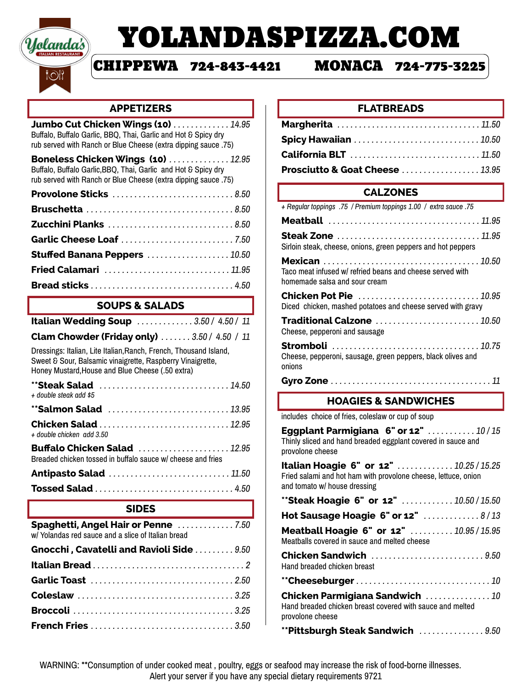

# YOLANDASPIZZA.COM

# CHIPPEWA 724-843-4421 MONACA 724-775-3225

#### **APPETIZERS**

| <b>Jumbo Cut Chicken Wings (10)</b> 14.95<br>Buffalo, Buffalo Garlic, BBQ, Thai, Garlic and Hot & Spicy dry                                                                         |
|-------------------------------------------------------------------------------------------------------------------------------------------------------------------------------------|
| rub served with Ranch or Blue Cheese (extra dipping sauce .75)                                                                                                                      |
| <b>Boneless Chicken Wings (10)  12.95</b><br>Buffalo, Buffalo Garlic, BBQ, Thai, Garlic and Hot & Spicy dry<br>rub served with Ranch or Blue Cheese (extra dipping sauce .75)       |
| Provolone Sticks 8.50                                                                                                                                                               |
| Bruschetta 8.50                                                                                                                                                                     |
|                                                                                                                                                                                     |
| Garlic Cheese Loaf 7.50                                                                                                                                                             |
| <b>Stuffed Banana Peppers 10.50</b>                                                                                                                                                 |
| <b>Fried Calamari</b> 11.95                                                                                                                                                         |
|                                                                                                                                                                                     |
| <b>SOUPS &amp; SALADS</b>                                                                                                                                                           |
| <b>Italian Wedding Soup 3.50 / 4.50 / 11</b>                                                                                                                                        |
| Clam Chowder (Friday only)  3.50 / 4.50 / 11                                                                                                                                        |
| Dressings: Italian, Lite Italian, Ranch, French, Thousand Island,<br>Sweet & Sour, Balsamic vinaigrette, Raspberry Vinaigrette,<br>Honey Mustard, House and Blue Cheese (.50 extra) |
| + double steak add \$5                                                                                                                                                              |
| **Salmon Salad 13.95                                                                                                                                                                |
| Chicken Salad 12.95<br>+ double chicken add 3.50                                                                                                                                    |
| <b>Buffalo Chicken Salad</b> 12.95<br>Breaded chicken tossed in buffalo sauce w/ cheese and fries                                                                                   |
| Antipasto Salad  11.50                                                                                                                                                              |
| <b>Tossed Salad 4.50</b>                                                                                                                                                            |
| <b>SIDES</b>                                                                                                                                                                        |
| Spaghetti, Angel Hair or Penne 7.50<br>w/ Yolandas red sauce and a slice of Italian bread                                                                                           |
| Gnocchi, Cavatelli and Ravioli Side  9.50                                                                                                                                           |
|                                                                                                                                                                                     |
| Garlic Toast 2.50                                                                                                                                                                   |
|                                                                                                                                                                                     |
|                                                                                                                                                                                     |
|                                                                                                                                                                                     |

### **FLATBREADS**

| Margherita 11.50                          |  |
|-------------------------------------------|--|
|                                           |  |
|                                           |  |
| <b>Prosciutto &amp; Goat Cheese 13.95</b> |  |

# **CALZONES**

| + Regular toppings .75 / Premium toppings 1.00 / extra sauce .75                            |
|---------------------------------------------------------------------------------------------|
|                                                                                             |
| <b>Steak Zone</b> 11.95<br>Sirloin steak, cheese, onions, green peppers and hot peppers     |
| Taco meat infused w/ refried beans and cheese served with<br>homemade salsa and sour cream  |
| <b>Chicken Pot Pie</b> 10.95<br>Diced chicken, mashed potatoes and cheese served with gravy |
| Traditional Calzone 10.50<br>Cheese, pepperoni and sausage                                  |
| Stromboli 10.75<br>Cheese, pepperoni, sausage, green peppers, black olives and<br>onions    |
|                                                                                             |
| <b>HOAGIES &amp; SANDWICHES</b>                                                             |
| includes choice of fries, coleslaw or cup of soup                                           |

**Eggplant Parmigiana 6" or 12"** *. . . . . . . . . . . 10 / 15* Thinly sliced and hand breaded eggplant covered in sauce and provolone cheese

**Italian Hoagie 6" or 12"** *. . . . . . . . . . . . . 10.25 / 15.25* Fried salami and hot ham with provolone cheese, lettuce, onion and tomato w/ house dressing

| <b>**Steak Hoagie 6" or 12"  10.50 / 15.50</b>                                                                   |
|------------------------------------------------------------------------------------------------------------------|
| Hot Sausage Hoagie $6"$ or $12"$ 8/13                                                                            |
| Meatball Hoagie 6" or 12"  10.95 / 15.95<br>Meatballs covered in sauce and melted cheese                         |
| Chicken Sandwich 9.50<br>Hand breaded chicken breast                                                             |
|                                                                                                                  |
| Chicken Parmigiana Sandwich  10<br>Hand breaded chicken breast covered with sauce and melted<br>provolone cheese |
| <b>**Pittsburgh Steak Sandwich  9.50</b>                                                                         |

WARNING: \*\*Consumption of under cooked meat , poultry, eggs or seafood may increase the risk of food-borne illnesses. Alert your server if you have any special dietary requirements 9721